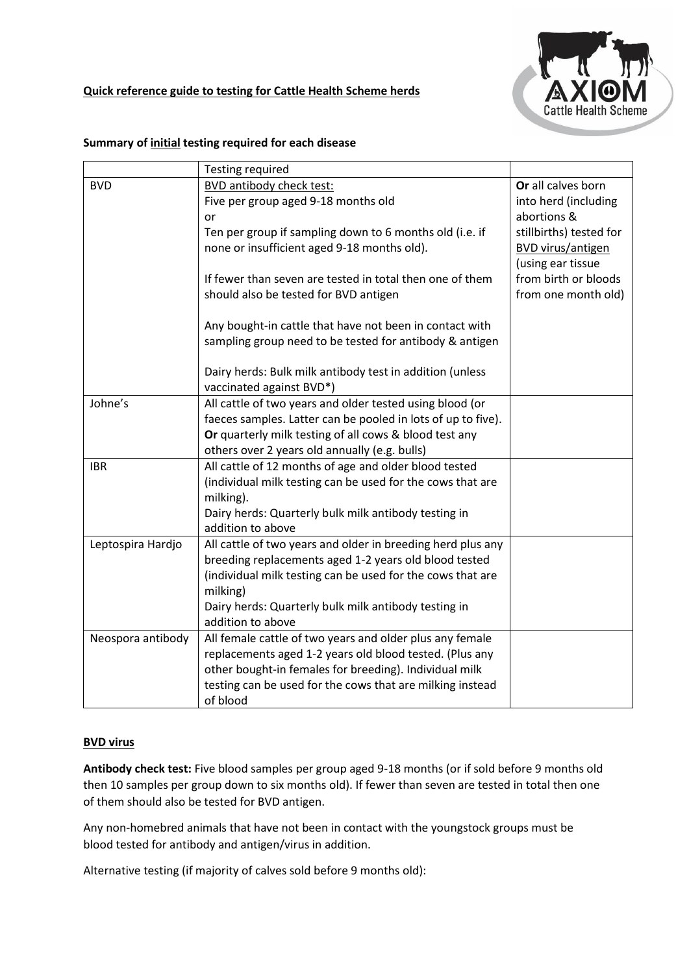

### **Quick reference guide to testing for Cattle Health Scheme herds**

|                   | <b>Testing required</b>                                      |                         |
|-------------------|--------------------------------------------------------------|-------------------------|
| <b>BVD</b>        | BVD antibody check test:                                     | Or all calves born      |
|                   | Five per group aged 9-18 months old                          | into herd (including    |
|                   | or                                                           | abortions &             |
|                   | Ten per group if sampling down to 6 months old (i.e. if      | stillbirths) tested for |
|                   | none or insufficient aged 9-18 months old).                  | BVD virus/antigen       |
|                   |                                                              | (using ear tissue       |
|                   | If fewer than seven are tested in total then one of them     | from birth or bloods    |
|                   | should also be tested for BVD antigen                        | from one month old)     |
|                   |                                                              |                         |
|                   | Any bought-in cattle that have not been in contact with      |                         |
|                   | sampling group need to be tested for antibody & antigen      |                         |
|                   |                                                              |                         |
|                   | Dairy herds: Bulk milk antibody test in addition (unless     |                         |
|                   | vaccinated against BVD*)                                     |                         |
| Johne's           | All cattle of two years and older tested using blood (or     |                         |
|                   | faeces samples. Latter can be pooled in lots of up to five). |                         |
|                   | Or quarterly milk testing of all cows & blood test any       |                         |
|                   | others over 2 years old annually (e.g. bulls)                |                         |
| <b>IBR</b>        | All cattle of 12 months of age and older blood tested        |                         |
|                   | (individual milk testing can be used for the cows that are   |                         |
|                   | milking).                                                    |                         |
|                   | Dairy herds: Quarterly bulk milk antibody testing in         |                         |
|                   | addition to above                                            |                         |
| Leptospira Hardjo | All cattle of two years and older in breeding herd plus any  |                         |
|                   | breeding replacements aged 1-2 years old blood tested        |                         |
|                   | (individual milk testing can be used for the cows that are   |                         |
|                   | milking)                                                     |                         |
|                   | Dairy herds: Quarterly bulk milk antibody testing in         |                         |
|                   | addition to above                                            |                         |
| Neospora antibody | All female cattle of two years and older plus any female     |                         |
|                   | replacements aged 1-2 years old blood tested. (Plus any      |                         |
|                   | other bought-in females for breeding). Individual milk       |                         |
|                   | testing can be used for the cows that are milking instead    |                         |
|                   | of blood                                                     |                         |

#### **Summary of initial testing required for each disease**

# **BVD virus**

**Antibody check test:** Five blood samples per group aged 9-18 months (or if sold before 9 months old then 10 samples per group down to six months old). If fewer than seven are tested in total then one of them should also be tested for BVD antigen.

Any non-homebred animals that have not been in contact with the youngstock groups must be blood tested for antibody and antigen/virus in addition.

Alternative testing (if majority of calves sold before 9 months old):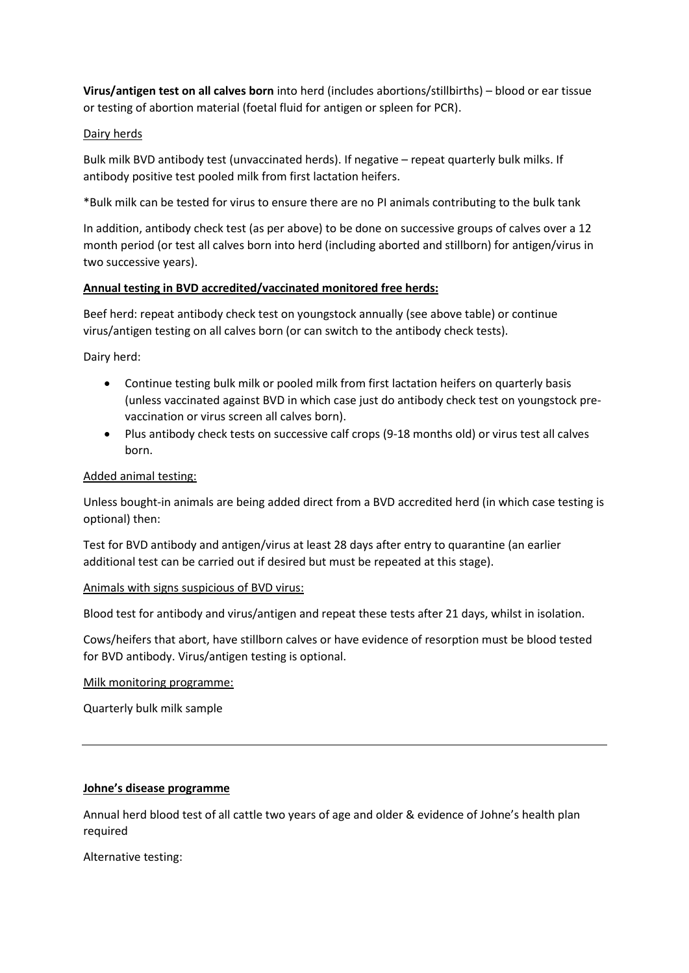**Virus/antigen test on all calves born** into herd (includes abortions/stillbirths) – blood or ear tissue or testing of abortion material (foetal fluid for antigen or spleen for PCR).

#### Dairy herds

Bulk milk BVD antibody test (unvaccinated herds). If negative – repeat quarterly bulk milks. If antibody positive test pooled milk from first lactation heifers.

\*Bulk milk can be tested for virus to ensure there are no PI animals contributing to the bulk tank

In addition, antibody check test (as per above) to be done on successive groups of calves over a 12 month period (or test all calves born into herd (including aborted and stillborn) for antigen/virus in two successive years).

### **Annual testing in BVD accredited/vaccinated monitored free herds:**

Beef herd: repeat antibody check test on youngstock annually (see above table) or continue virus/antigen testing on all calves born (or can switch to the antibody check tests).

Dairy herd:

- Continue testing bulk milk or pooled milk from first lactation heifers on quarterly basis (unless vaccinated against BVD in which case just do antibody check test on youngstock prevaccination or virus screen all calves born).
- Plus antibody check tests on successive calf crops (9-18 months old) or virus test all calves born.

### Added animal testing:

Unless bought-in animals are being added direct from a BVD accredited herd (in which case testing is optional) then:

Test for BVD antibody and antigen/virus at least 28 days after entry to quarantine (an earlier additional test can be carried out if desired but must be repeated at this stage).

#### Animals with signs suspicious of BVD virus:

Blood test for antibody and virus/antigen and repeat these tests after 21 days, whilst in isolation.

Cows/heifers that abort, have stillborn calves or have evidence of resorption must be blood tested for BVD antibody. Virus/antigen testing is optional.

Milk monitoring programme:

Quarterly bulk milk sample

#### **Johne's disease programme**

Annual herd blood test of all cattle two years of age and older & evidence of Johne's health plan required

Alternative testing: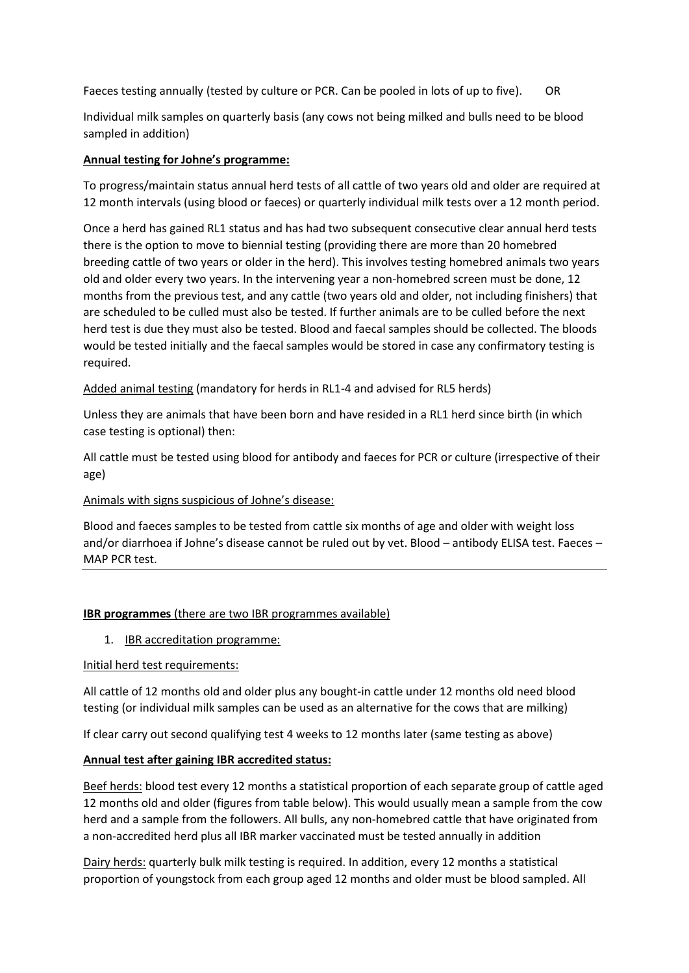Faeces testing annually (tested by culture or PCR. Can be pooled in lots of up to five). OR

Individual milk samples on quarterly basis (any cows not being milked and bulls need to be blood sampled in addition)

# **Annual testing for Johne's programme:**

To progress/maintain status annual herd tests of all cattle of two years old and older are required at 12 month intervals (using blood or faeces) or quarterly individual milk tests over a 12 month period.

Once a herd has gained RL1 status and has had two subsequent consecutive clear annual herd tests there is the option to move to biennial testing (providing there are more than 20 homebred breeding cattle of two years or older in the herd). This involves testing homebred animals two years old and older every two years. In the intervening year a non-homebred screen must be done, 12 months from the previous test, and any cattle (two years old and older, not including finishers) that are scheduled to be culled must also be tested. If further animals are to be culled before the next herd test is due they must also be tested. Blood and faecal samples should be collected. The bloods would be tested initially and the faecal samples would be stored in case any confirmatory testing is required.

Added animal testing (mandatory for herds in RL1-4 and advised for RL5 herds)

Unless they are animals that have been born and have resided in a RL1 herd since birth (in which case testing is optional) then:

All cattle must be tested using blood for antibody and faeces for PCR or culture (irrespective of their age)

# Animals with signs suspicious of Johne's disease:

Blood and faeces samples to be tested from cattle six months of age and older with weight loss and/or diarrhoea if Johne's disease cannot be ruled out by vet. Blood – antibody ELISA test. Faeces – MAP PCR test.

# **IBR programmes** (there are two IBR programmes available)

1. IBR accreditation programme:

# Initial herd test requirements:

All cattle of 12 months old and older plus any bought-in cattle under 12 months old need blood testing (or individual milk samples can be used as an alternative for the cows that are milking)

If clear carry out second qualifying test 4 weeks to 12 months later (same testing as above)

# **Annual test after gaining IBR accredited status:**

Beef herds: blood test every 12 months a statistical proportion of each separate group of cattle aged 12 months old and older (figures from table below). This would usually mean a sample from the cow herd and a sample from the followers. All bulls, any non-homebred cattle that have originated from a non-accredited herd plus all IBR marker vaccinated must be tested annually in addition

Dairy herds: quarterly bulk milk testing is required. In addition, every 12 months a statistical proportion of youngstock from each group aged 12 months and older must be blood sampled. All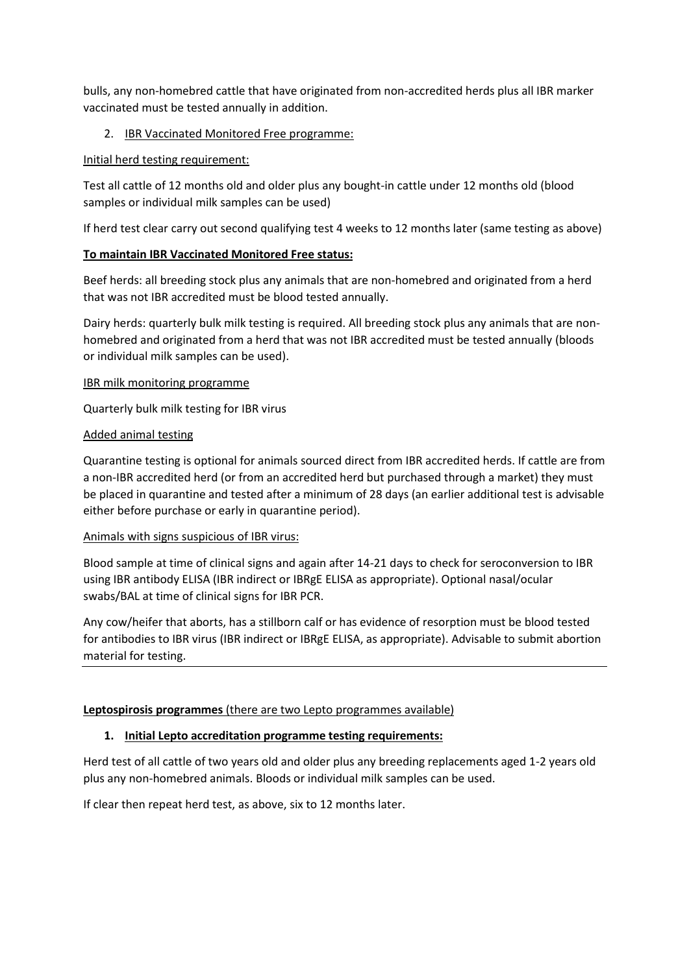bulls, any non-homebred cattle that have originated from non-accredited herds plus all IBR marker vaccinated must be tested annually in addition.

# 2. IBR Vaccinated Monitored Free programme:

### Initial herd testing requirement:

Test all cattle of 12 months old and older plus any bought-in cattle under 12 months old (blood samples or individual milk samples can be used)

If herd test clear carry out second qualifying test 4 weeks to 12 months later (same testing as above)

# **To maintain IBR Vaccinated Monitored Free status:**

Beef herds: all breeding stock plus any animals that are non-homebred and originated from a herd that was not IBR accredited must be blood tested annually.

Dairy herds: quarterly bulk milk testing is required. All breeding stock plus any animals that are nonhomebred and originated from a herd that was not IBR accredited must be tested annually (bloods or individual milk samples can be used).

### IBR milk monitoring programme

Quarterly bulk milk testing for IBR virus

# Added animal testing

Quarantine testing is optional for animals sourced direct from IBR accredited herds. If cattle are from a non-IBR accredited herd (or from an accredited herd but purchased through a market) they must be placed in quarantine and tested after a minimum of 28 days (an earlier additional test is advisable either before purchase or early in quarantine period).

# Animals with signs suspicious of IBR virus:

Blood sample at time of clinical signs and again after 14-21 days to check for seroconversion to IBR using IBR antibody ELISA (IBR indirect or IBRgE ELISA as appropriate). Optional nasal/ocular swabs/BAL at time of clinical signs for IBR PCR.

Any cow/heifer that aborts, has a stillborn calf or has evidence of resorption must be blood tested for antibodies to IBR virus (IBR indirect or IBRgE ELISA, as appropriate). Advisable to submit abortion material for testing.

# **Leptospirosis programmes** (there are two Lepto programmes available)

# **1. Initial Lepto accreditation programme testing requirements:**

Herd test of all cattle of two years old and older plus any breeding replacements aged 1-2 years old plus any non-homebred animals. Bloods or individual milk samples can be used.

If clear then repeat herd test, as above, six to 12 months later.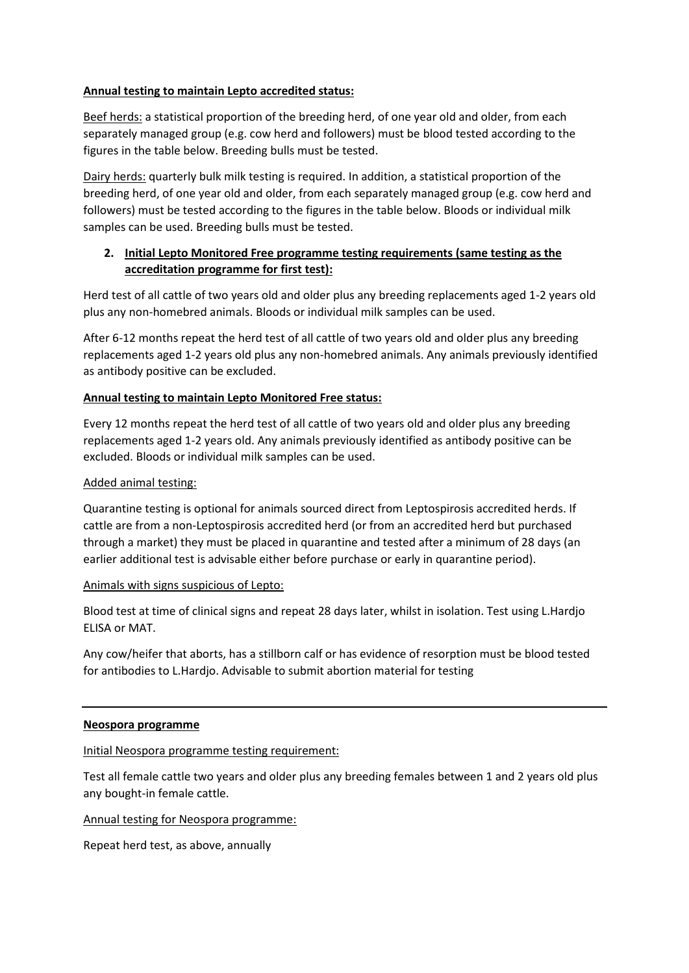### **Annual testing to maintain Lepto accredited status:**

Beef herds: a statistical proportion of the breeding herd, of one year old and older, from each separately managed group (e.g. cow herd and followers) must be blood tested according to the figures in the table below. Breeding bulls must be tested.

Dairy herds: quarterly bulk milk testing is required. In addition, a statistical proportion of the breeding herd, of one year old and older, from each separately managed group (e.g. cow herd and followers) must be tested according to the figures in the table below. Bloods or individual milk samples can be used. Breeding bulls must be tested.

# **2. Initial Lepto Monitored Free programme testing requirements (same testing as the accreditation programme for first test):**

Herd test of all cattle of two years old and older plus any breeding replacements aged 1-2 years old plus any non-homebred animals. Bloods or individual milk samples can be used.

After 6-12 months repeat the herd test of all cattle of two years old and older plus any breeding replacements aged 1-2 years old plus any non-homebred animals. Any animals previously identified as antibody positive can be excluded.

### **Annual testing to maintain Lepto Monitored Free status:**

Every 12 months repeat the herd test of all cattle of two years old and older plus any breeding replacements aged 1-2 years old. Any animals previously identified as antibody positive can be excluded. Bloods or individual milk samples can be used.

#### Added animal testing:

Quarantine testing is optional for animals sourced direct from Leptospirosis accredited herds. If cattle are from a non-Leptospirosis accredited herd (or from an accredited herd but purchased through a market) they must be placed in quarantine and tested after a minimum of 28 days (an earlier additional test is advisable either before purchase or early in quarantine period).

#### Animals with signs suspicious of Lepto:

Blood test at time of clinical signs and repeat 28 days later, whilst in isolation. Test using L.Hardjo ELISA or MAT.

Any cow/heifer that aborts, has a stillborn calf or has evidence of resorption must be blood tested for antibodies to L.Hardjo. Advisable to submit abortion material for testing

#### **Neospora programme**

#### Initial Neospora programme testing requirement:

Test all female cattle two years and older plus any breeding females between 1 and 2 years old plus any bought-in female cattle.

Annual testing for Neospora programme:

Repeat herd test, as above, annually